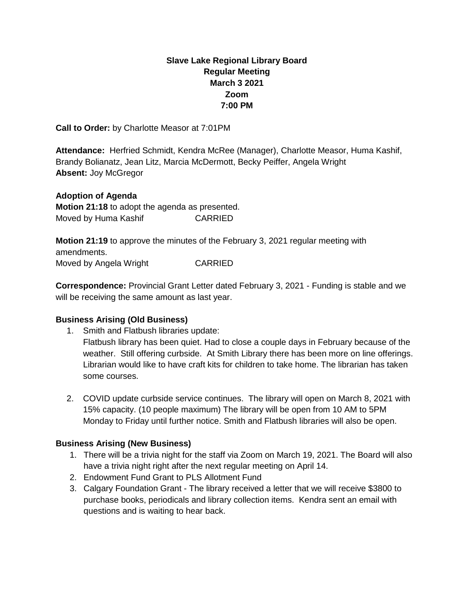# **Slave Lake Regional Library Board Regular Meeting March 3 2021 Zoom 7:00 PM**

**Call to Order:** by Charlotte Measor at 7:01PM

**Attendance:** Herfried Schmidt, Kendra McRee (Manager), Charlotte Measor, Huma Kashif, Brandy Bolianatz, Jean Litz, Marcia McDermott, Becky Peiffer, Angela Wright **Absent:** Joy McGregor

### **Adoption of Agenda**

**Motion 21:18** to adopt the agenda as presented. Moved by Huma Kashif CARRIED

**Motion 21:19** to approve the minutes of the February 3, 2021 regular meeting with amendments. Moved by Angela Wright CARRIED

**Correspondence:** Provincial Grant Letter dated February 3, 2021 - Funding is stable and we will be receiving the same amount as last year.

## **Business Arising (Old Business)**

- 1. Smith and Flatbush libraries update: Flatbush library has been quiet. Had to close a couple days in February because of the weather. Still offering curbside. At Smith Library there has been more on line offerings. Librarian would like to have craft kits for children to take home. The librarian has taken some courses.
- 2. COVID update curbside service continues. The library will open on March 8, 2021 with 15% capacity. (10 people maximum) The library will be open from 10 AM to 5PM Monday to Friday until further notice. Smith and Flatbush libraries will also be open.

## **Business Arising (New Business)**

- 1. There will be a trivia night for the staff via Zoom on March 19, 2021. The Board will also have a trivia night right after the next regular meeting on April 14.
- 2. Endowment Fund Grant to PLS Allotment Fund
- 3. Calgary Foundation Grant The library received a letter that we will receive \$3800 to purchase books, periodicals and library collection items. Kendra sent an email with questions and is waiting to hear back.